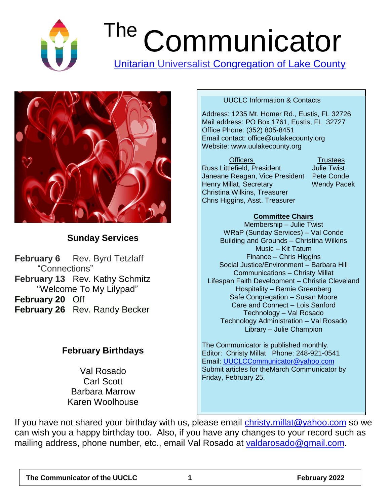

# The Communicator

[Unitarian Universalist](http://www.lakecountyuu.net/) Congregation of Lake County



#### **Sunday Services**

**February 6** Rev. Byrd Tetzlaff "Connections" **February 13** Rev. Kathy Schmitz "Welcome To My Lilypad" **February 20** Off **February 26** Rev. Randy Becker

#### **February Birthdays**

Val Rosado Carl Scott Barbara Marrow Karen Woolhouse

#### UUCLC Information & Contacts

Address: 1235 Mt. Homer Rd., Eustis, FL 32726 Mail address: PO Box 1761, Eustis, FL 32727 Office Phone: (352) 805-8451 Email contact: office@uulakecounty.org Website: www.uulakecounty.org

Officers **Trustees** Russ Littlefield, President Julie Twist Janeane Reagan, Vice President Pete Conde Henry Millat, Secretary Wendy Pacek Christina Wilkins, Treasurer Chris Higgins, Asst. Treasurer

#### **Committee Chairs**

Membership – Julie Twist WRaP (Sunday Services) – Val Conde Building and Grounds – Christina Wilkins Music – Kit Tatum Finance – Chris Higgins Social Justice/Environment – Barbara Hill Communications – Christy Millat Lifespan Faith Development – Christie Cleveland Hospitality – Bernie Greenberg Safe Congregation – Susan Moore Care and Connect – Lois Sanford Technology – Val Rosado Technology Administration – Val Rosado Library – Julie Champion

The Communicator is published monthly. Editor: Christy Millat Phone: 248-921-0541 Email: [UUCLCCommunicator@yahoo.com](mailto:UUCLCCommunicator@yahoo.com) Submit articles for theMarch Communicator by Friday, February 25.

If you have not shared your birthday with us, please email christy millat@yahoo.com so we can wish you a happy birthday too. Also, if you have any changes to your record such as mailing address, phone number, etc., email Val Rosado at [valdarosado@gmail.com.](mailto:valdarosado@gmail.com)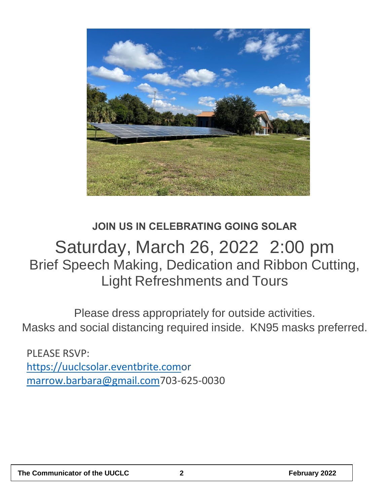

## **JOIN US IN CELEBRATING GOING SOLAR** Saturday, March 26, 2022 2:00 pm Brief Speech Making, Dedication and Ribbon Cutting, Light Refreshments and Tours

Please dress appropriately for outside activities. Masks and social distancing required inside. KN95 masks preferred.

PLEASE RSVP: [https://uuclcsolar.eventbrite.como](https://uuclcsolar.eventbrite.com/)r [marrow.barbara@gmail.com7](mailto:marrow.barbara@gmail.com)03-625-0030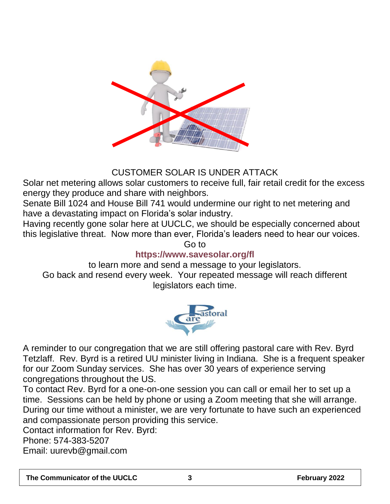

#### CUSTOMER SOLAR IS UNDER ATTACK

Solar net metering allows solar customers to receive full, fair retail credit for the excess energy they produce and share with neighbors.

Senate Bill 1024 and House Bill 741 would undermine our right to net metering and have a devastating impact on Florida's solar industry.

Having recently gone solar here at UUCLC, we should be especially concerned about this legislative threat. Now more than ever, Florida's leaders need to hear our voices. Go to

#### **https://www.savesolar.org/fl**

to learn more and send a message to your legislators. Go back and resend every week. Your repeated message will reach different legislators each time.



A reminder to our congregation that we are still offering pastoral care with Rev. Byrd Tetzlaff. Rev. Byrd is a retired UU minister living in Indiana. She is a frequent speaker for our Zoom Sunday services. She has over 30 years of experience serving congregations throughout the US.

To contact Rev. Byrd for a one-on-one session you can call or email her to set up a time. Sessions can be held by phone or using a Zoom meeting that she will arrange. During our time without a minister, we are very fortunate to have such an experienced and compassionate person providing this service.

Contact information for Rev. Byrd: Phone: 574-383-5207 Email: uurevb@gmail.com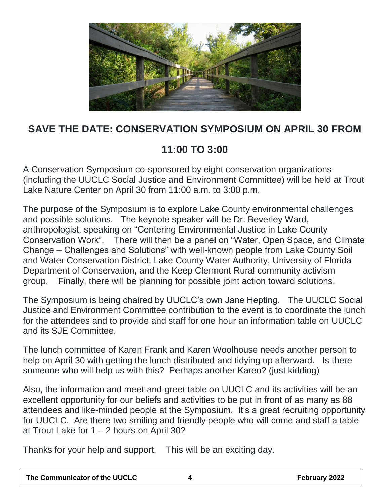

## **SAVE THE DATE: CONSERVATION SYMPOSIUM ON APRIL 30 FROM**

## **11:00 TO 3:00**

A Conservation Symposium co-sponsored by eight conservation organizations (including the UUCLC Social Justice and Environment Committee) will be held at Trout Lake Nature Center on April 30 from 11:00 a.m. to 3:00 p.m.

The purpose of the Symposium is to explore Lake County environmental challenges and possible solutions. The keynote speaker will be Dr. Beverley Ward, anthropologist, speaking on "Centering Environmental Justice in Lake County Conservation Work". There will then be a panel on "Water, Open Space, and Climate Change – Challenges and Solutions" with well-known people from Lake County Soil and Water Conservation District, Lake County Water Authority, University of Florida Department of Conservation, and the Keep Clermont Rural community activism group. Finally, there will be planning for possible joint action toward solutions.

The Symposium is being chaired by UUCLC's own Jane Hepting. The UUCLC Social Justice and Environment Committee contribution to the event is to coordinate the lunch for the attendees and to provide and staff for one hour an information table on UUCLC and its SJE Committee.

The lunch committee of Karen Frank and Karen Woolhouse needs another person to help on April 30 with getting the lunch distributed and tidying up afterward. Is there someone who will help us with this? Perhaps another Karen? (just kidding)

Also, the information and meet-and-greet table on UUCLC and its activities will be an excellent opportunity for our beliefs and activities to be put in front of as many as 88 attendees and like-minded people at the Symposium. It's a great recruiting opportunity for UUCLC. Are there two smiling and friendly people who will come and staff a table at Trout Lake for  $1 - 2$  hours on April 30?

Thanks for your help and support. This will be an exciting day.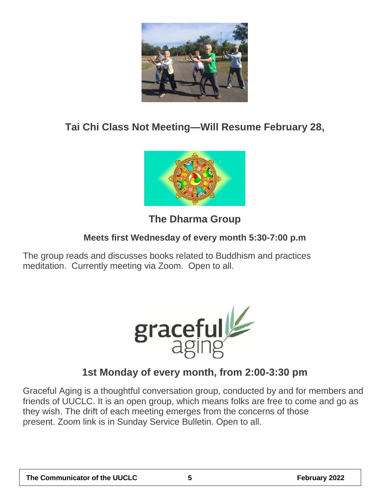

#### **Tai Chi Class Not Meeting—Will Resume February 28,**



## **The Dharma Group**

#### **Meets first Wednesday of every month 5:30-7:00 p.m**

The group reads and discusses books related to Buddhism and practices meditation. Currently meeting via Zoom. Open to all.



## **1st Monday of every month, from 2:00-3:30 pm**

Graceful Aging is a thoughtful conversation group, conducted by and for members and friends of UUCLC. It is an open group, which means folks are free to come and go as they wish. The drift of each meeting emerges from the concerns of those present. Zoom link is in Sunday Service Bulletin. Open to all.